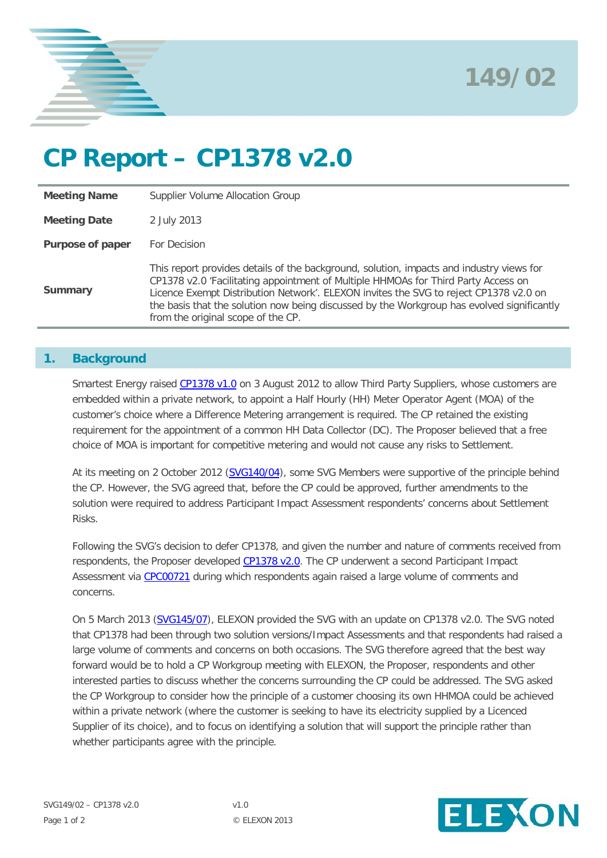



# **CP Report – CP1378 v2.0**

| <b>Meeting Name</b> | Supplier Volume Allocation Group                                                                                                                                                                                                                                                                                                                                                                            |
|---------------------|-------------------------------------------------------------------------------------------------------------------------------------------------------------------------------------------------------------------------------------------------------------------------------------------------------------------------------------------------------------------------------------------------------------|
| <b>Meeting Date</b> | 2 July 2013                                                                                                                                                                                                                                                                                                                                                                                                 |
| Purpose of paper    | For Decision                                                                                                                                                                                                                                                                                                                                                                                                |
| <b>Summary</b>      | This report provides details of the background, solution, impacts and industry views for<br>CP1378 v2.0 'Facilitating appointment of Multiple HHMOAs for Third Party Access on<br>Licence Exempt Distribution Network'. ELEXON invites the SVG to reject CP1378 v2.0 on<br>the basis that the solution now being discussed by the Workgroup has evolved significantly<br>from the original scope of the CP. |

## **1. Background**

Smartest Energy raised [CP1378 v1.0](http://www.elexon.co.uk/change-proposal/cp1378/) on 3 August 2012 to allow Third Party Suppliers, whose customers are embedded within a private network, to appoint a Half Hourly (HH) Meter Operator Agent (MOA) of the customer's choice where a Difference Metering arrangement is required. The CP retained the existing requirement for the appointment of a common HH Data Collector (DC). The Proposer believed that a free choice of MOA is important for competitive metering and would not cause any risks to Settlement.

At its meeting on 2 October 2012 [\(SVG140/04\)](http://www.elexon.co.uk/wp-content/uploads/2012/09/SVG140_04_CPs137778_v1.0.pdf), some SVG Members were supportive of the principle behind the CP. However, the SVG agreed that, before the CP could be approved, further amendments to the solution were required to address Participant Impact Assessment respondents' concerns about Settlement Risks.

Following the SVG's decision to defer CP1378, and given the number and nature of comments received from respondents, the Proposer developed [CP1378 v2.0.](http://www.elexon.co.uk/wp-content/uploads/2012/08/SVG145_07_CP1378v2v1.0.pdf) The CP underwent a second Participant Impact Assessment via [CPC00721](http://www.elexon.co.uk/about/insights-consultations-cpcs/change-proposal-circulars/2/?show=5&type) during which respondents again raised a large volume of comments and concerns.

On 5 March 2013 [\(SVG145/07\)](http://www.elexon.co.uk/wp-content/uploads/2012/11/SVG145_07_CP1378.pdf), ELEXON provided the SVG with an update on CP1378 v2.0. The SVG noted that CP1378 had been through two solution versions/Impact Assessments and that respondents had raised a large volume of comments and concerns on both occasions. The SVG therefore agreed that the best way forward would be to hold a CP Workgroup meeting with ELEXON, the Proposer, respondents and other interested parties to discuss whether the concerns surrounding the CP could be addressed. The SVG asked the CP Workgroup to consider how the principle of a customer choosing its own HHMOA could be achieved within a private network (where the customer is seeking to have its electricity supplied by a Licenced Supplier of its choice), and to focus on identifying a solution that will support the principle rather than whether participants agree with the principle.